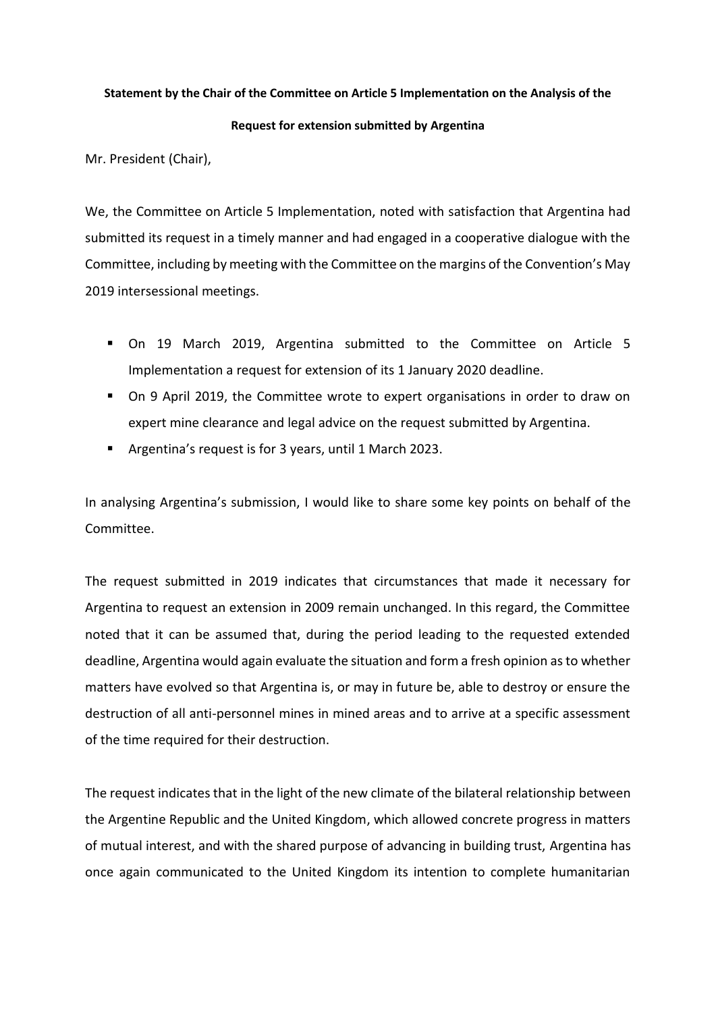## **Statement by the Chair of the Committee on Article 5 Implementation on the Analysis of the**

## **Request for extension submitted by Argentina**

Mr. President (Chair),

We, the Committee on Article 5 Implementation, noted with satisfaction that Argentina had submitted its request in a timely manner and had engaged in a cooperative dialogue with the Committee, including by meeting with the Committee on the margins of the Convention's May 2019 intersessional meetings.

- On 19 March 2019, Argentina submitted to the Committee on Article 5 Implementation a request for extension of its 1 January 2020 deadline.
- On 9 April 2019, the Committee wrote to expert organisations in order to draw on expert mine clearance and legal advice on the request submitted by Argentina.
- Argentina's request is for 3 years, until 1 March 2023.

In analysing Argentina's submission, I would like to share some key points on behalf of the Committee.

The request submitted in 2019 indicates that circumstances that made it necessary for Argentina to request an extension in 2009 remain unchanged. In this regard, the Committee noted that it can be assumed that, during the period leading to the requested extended deadline, Argentina would again evaluate the situation and form a fresh opinion as to whether matters have evolved so that Argentina is, or may in future be, able to destroy or ensure the destruction of all anti-personnel mines in mined areas and to arrive at a specific assessment of the time required for their destruction.

The request indicates that in the light of the new climate of the bilateral relationship between the Argentine Republic and the United Kingdom, which allowed concrete progress in matters of mutual interest, and with the shared purpose of advancing in building trust, Argentina has once again communicated to the United Kingdom its intention to complete humanitarian